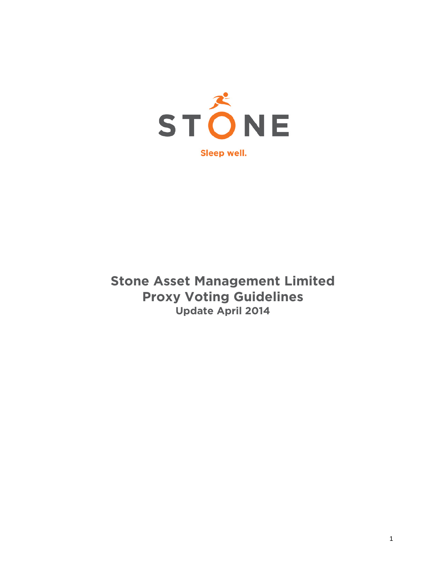

# **Stone Asset Management Limited Proxy Voting Guidelines Update April 2014**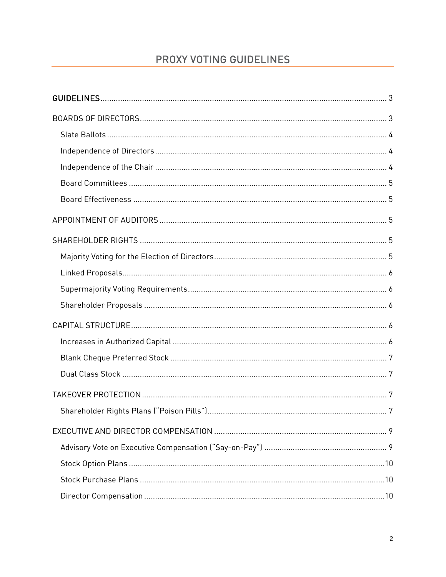# PROXY VOTING GUIDELINES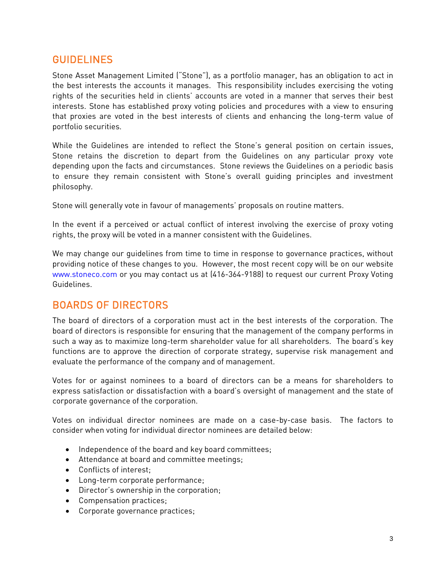# <span id="page-2-0"></span>GUIDELINES

Stone Asset Management Limited ("Stone"), as a portfolio manager, has an obligation to act in the best interests the accounts it manages. This responsibility includes exercising the voting rights of the securities held in clients' accounts are voted in a manner that serves their best interests. Stone has established proxy voting policies and procedures with a view to ensuring that proxies are voted in the best interests of clients and enhancing the long-term value of portfolio securities.

While the Guidelines are intended to reflect the Stone's general position on certain issues, Stone retains the discretion to depart from the Guidelines on any particular proxy vote depending upon the facts and circumstances. Stone reviews the Guidelines on a periodic basis to ensure they remain consistent with Stone's overall guiding principles and investment philosophy.

Stone will generally vote in favour of managements' proposals on routine matters.

In the event if a perceived or actual conflict of interest involving the exercise of proxy voting rights, the proxy will be voted in a manner consistent with the Guidelines.

We may change our guidelines from time to time in response to governance practices, without providing notice of these changes to you. However, the most recent copy will be on our website www.stoneco.com or you may contact us at (416-364-9188) to request our current Proxy Voting Guidelines.

# <span id="page-2-1"></span>BOARDS OF DIRECTORS

The board of directors of a corporation must act in the best interests of the corporation. The board of directors is responsible for ensuring that the management of the company performs in such a way as to maximize long-term shareholder value for all shareholders. The board's key functions are to approve the direction of corporate strategy, supervise risk management and evaluate the performance of the company and of management.

Votes for or against nominees to a board of directors can be a means for shareholders to express satisfaction or dissatisfaction with a board's oversight of management and the state of corporate governance of the corporation.

Votes on individual director nominees are made on a case-by-case basis. The factors to consider when voting for individual director nominees are detailed below:

- Independence of the board and key board committees;
- Attendance at board and committee meetings;
- Conflicts of interest;
- Long-term corporate performance;
- Director's ownership in the corporation;
- Compensation practices;
- Corporate governance practices;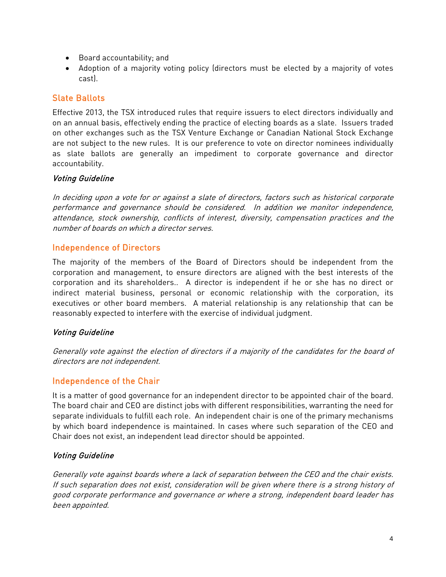- Board accountability; and
- Adoption of a majority voting policy (directors must be elected by a majority of votes cast).

# <span id="page-3-0"></span>Slate Ballots

Effective 2013, the TSX introduced rules that require issuers to elect directors individually and on an annual basis, effectively ending the practice of electing boards as a slate. Issuers traded on other exchanges such as the TSX Venture Exchange or Canadian National Stock Exchange are not subject to the new rules. It is our preference to vote on director nominees individually as slate ballots are generally an impediment to corporate governance and director accountability.

#### Voting Guideline

In deciding upon a vote for or against a slate of directors, factors such as historical corporate performance and governance should be considered. In addition we monitor independence, attendance, stock ownership, conflicts of interest, diversity, compensation practices and the number of boards on which a director serves.

### <span id="page-3-1"></span>Independence of Directors

The majority of the members of the Board of Directors should be independent from the corporation and management, to ensure directors are aligned with the best interests of the corporation and its shareholders.. A director is independent if he or she has no direct or indirect material business, personal or economic relationship with the corporation, its executives or other board members. A material relationship is any relationship that can be reasonably expected to interfere with the exercise of individual judgment.

#### Voting Guideline

Generally vote against the election of directors if a majority of the candidates for the board of directors are not independent.

# <span id="page-3-2"></span>Independence of the Chair

It is a matter of good governance for an independent director to be appointed chair of the board. The board chair and CEO are distinct jobs with different responsibilities, warranting the need for separate individuals to fulfill each role. An independent chair is one of the primary mechanisms by which board independence is maintained. In cases where such separation of the CEO and Chair does not exist, an independent lead director should be appointed.

## Voting Guideline

Generally vote against boards where a lack of separation between the CEO and the chair exists. If such separation does not exist, consideration will be given where there is a strong history of good corporate performance and governance or where a strong, independent board leader has been appointed.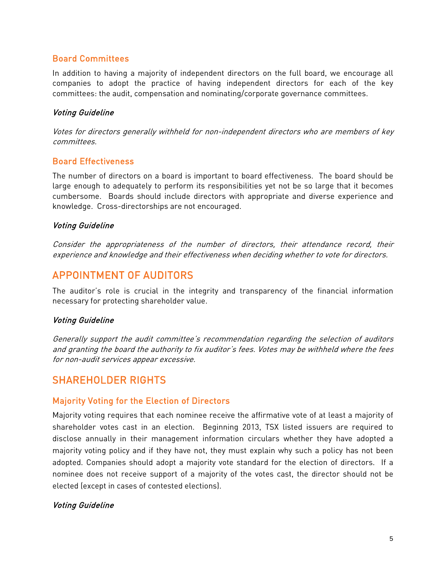#### <span id="page-4-0"></span>Board Committees

In addition to having a majority of independent directors on the full board, we encourage all companies to adopt the practice of having independent directors for each of the key committees: the audit, compensation and nominating/corporate governance committees.

#### Voting Guideline

Votes for directors generally withheld for non-independent directors who are members of key committees.

### <span id="page-4-1"></span>Board Effectiveness

The number of directors on a board is important to board effectiveness. The board should be large enough to adequately to perform its responsibilities yet not be so large that it becomes cumbersome. Boards should include directors with appropriate and diverse experience and knowledge. Cross-directorships are not encouraged.

#### Voting Guideline

Consider the appropriateness of the number of directors, their attendance record, their experience and knowledge and their effectiveness when deciding whether to vote for directors.

# <span id="page-4-2"></span>APPOINTMENT OF AUDITORS

The auditor's role is crucial in the integrity and transparency of the financial information necessary for protecting shareholder value.

#### Voting Guideline

Generally support the audit committee's recommendation regarding the selection of auditors and granting the board the authority to fix auditor's fees. Votes may be withheld where the fees for non-audit services appear excessive.

# <span id="page-4-3"></span>SHAREHOLDER RIGHTS

#### <span id="page-4-4"></span>Majority Voting for the Election of Directors

Majority voting requires that each nominee receive the affirmative vote of at least a majority of shareholder votes cast in an election. Beginning 2013, TSX listed issuers are required to disclose annually in their management information circulars whether they have adopted a majority voting policy and if they have not, they must explain why such a policy has not been adopted. Companies should adopt a majority vote standard for the election of directors. If a nominee does not receive support of a majority of the votes cast, the director should not be elected (except in cases of contested elections).

#### Voting Guideline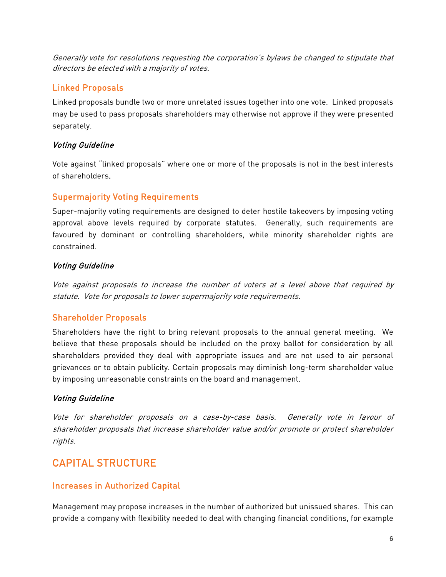Generally vote for resolutions requesting the corporation's bylaws be changed to stipulate that directors be elected with a majority of votes.

# <span id="page-5-0"></span>Linked Proposals

Linked proposals bundle two or more unrelated issues together into one vote. Linked proposals may be used to pass proposals shareholders may otherwise not approve if they were presented separately.

### Voting Guideline

Vote against "linked proposals" where one or more of the proposals is not in the best interests of shareholders.

# <span id="page-5-1"></span>Supermajority Voting Requirements

Super-majority voting requirements are designed to deter hostile takeovers by imposing voting approval above levels required by corporate statutes. Generally, such requirements are favoured by dominant or controlling shareholders, while minority shareholder rights are constrained.

## Voting Guideline

Vote against proposals to increase the number of voters at a level above that required by statute. Vote for proposals to lower supermajority vote requirements.

# <span id="page-5-2"></span>Shareholder Proposals

Shareholders have the right to bring relevant proposals to the annual general meeting. We believe that these proposals should be included on the proxy ballot for consideration by all shareholders provided they deal with appropriate issues and are not used to air personal grievances or to obtain publicity. Certain proposals may diminish long-term shareholder value by imposing unreasonable constraints on the board and management.

## Voting Guideline

Vote for shareholder proposals on a case-by-case basis. Generally vote in favour of shareholder proposals that increase shareholder value and/or promote or protect shareholder rights.

# <span id="page-5-3"></span>CAPITAL STRUCTURE

## <span id="page-5-4"></span>Increases in Authorized Capital

Management may propose increases in the number of authorized but unissued shares. This can provide a company with flexibility needed to deal with changing financial conditions, for example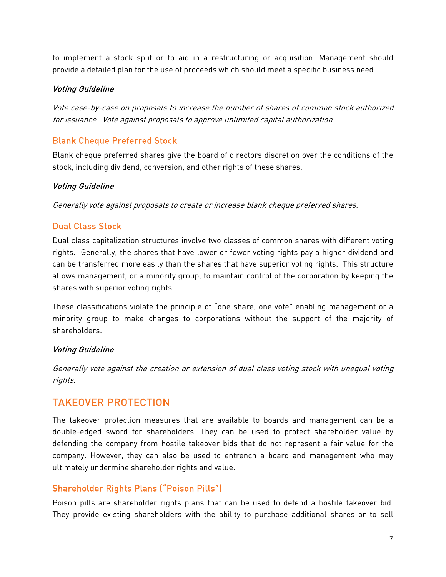to implement a stock split or to aid in a restructuring or acquisition. Management should provide a detailed plan for the use of proceeds which should meet a specific business need.

#### Voting Guideline

Vote case-by-case on proposals to increase the number of shares of common stock authorized for issuance. Vote against proposals to approve unlimited capital authorization.

# <span id="page-6-0"></span>Blank Cheque Preferred Stock

Blank cheque preferred shares give the board of directors discretion over the conditions of the stock, including dividend, conversion, and other rights of these shares.

### Voting Guideline

Generally vote against proposals to create or increase blank cheque preferred shares.

# <span id="page-6-1"></span>Dual Class Stock

Dual class capitalization structures involve two classes of common shares with different voting rights. Generally, the shares that have lower or fewer voting rights pay a higher dividend and can be transferred more easily than the shares that have superior voting rights. This structure allows management, or a minority group, to maintain control of the corporation by keeping the shares with superior voting rights.

These classifications violate the principle of "one share, one vote" enabling management or a minority group to make changes to corporations without the support of the majority of shareholders.

#### Voting Guideline

Generally vote against the creation or extension of dual class voting stock with unequal voting rights.

# <span id="page-6-2"></span>TAKEOVER PROTECTION

The takeover protection measures that are available to boards and management can be a double-edged sword for shareholders. They can be used to protect shareholder value by defending the company from hostile takeover bids that do not represent a fair value for the company. However, they can also be used to entrench a board and management who may ultimately undermine shareholder rights and value.

## <span id="page-6-3"></span>Shareholder Rights Plans ("Poison Pills")

Poison pills are shareholder rights plans that can be used to defend a hostile takeover bid. They provide existing shareholders with the ability to purchase additional shares or to sell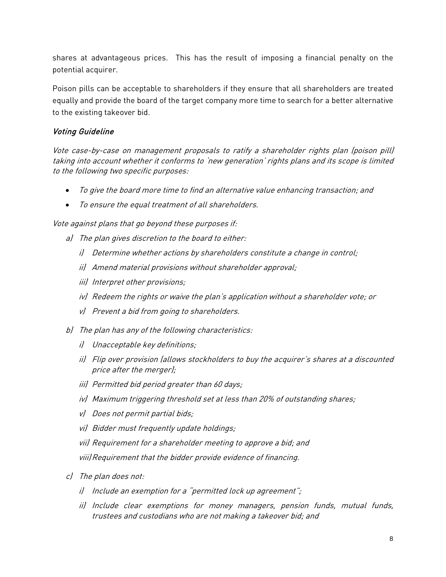shares at advantageous prices. This has the result of imposing a financial penalty on the potential acquirer.

Poison pills can be acceptable to shareholders if they ensure that all shareholders are treated equally and provide the board of the target company more time to search for a better alternative to the existing takeover bid.

### Voting Guideline

Vote case-by-case on management proposals to ratify a shareholder rights plan (poison pill) taking into account whether it conforms to 'new generation' rights plans and its scope is limited to the following two specific purposes:

- To give the board more time to find an alternative value enhancing transaction; and
- To ensure the equal treatment of all shareholders.

Vote against plans that go beyond these purposes if:

- a) The plan gives discretion to the board to either:
	- i) Determine whether actions by shareholders constitute a change in control;
	- ii) Amend material provisions without shareholder approval;
	- iii) Interpret other provisions;
	- iv) Redeem the rights or waive the plan's application without a shareholder vote; or
	- v) Prevent a bid from going to shareholders.
- b) The plan has any of the following characteristics:
	- i) Unacceptable key definitions;
	- ii) Flip over provision (allows stockholders to buy the acquirer's shares at a discounted price after the merger);
	- iii) Permitted bid period greater than 60 days;
	- iv) Maximum triggering threshold set at less than 20% of outstanding shares;
	- v) Does not permit partial bids;
	- vi) Bidder must frequently update holdings;
	- vii) Requirement for a shareholder meeting to approve a bid; and

viii)Requirement that the bidder provide evidence of financing.

- c) The plan does not:
	- i) Include an exemption for a "permitted lock up agreement";
	- ii) Include clear exemptions for money managers, pension funds, mutual funds, trustees and custodians who are not making a takeover bid; and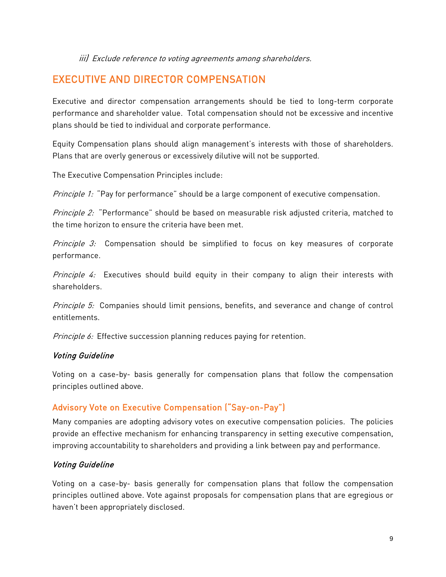iii) Exclude reference to voting agreements among shareholders.

# <span id="page-8-0"></span>EXECUTIVE AND DIRECTOR COMPENSATION

Executive and director compensation arrangements should be tied to long-term corporate performance and shareholder value. Total compensation should not be excessive and incentive plans should be tied to individual and corporate performance.

Equity Compensation plans should align management's interests with those of shareholders. Plans that are overly generous or excessively dilutive will not be supported.

The Executive Compensation Principles include:

Principle 1: "Pay for performance" should be a large component of executive compensation.

Principle 2: "Performance" should be based on measurable risk adjusted criteria, matched to the time horizon to ensure the criteria have been met.

Principle 3: Compensation should be simplified to focus on key measures of corporate performance.

*Principle 4:* Executives should build equity in their company to align their interests with shareholders.

Principle 5: Companies should limit pensions, benefits, and severance and change of control entitlements.

Principle 6: Effective succession planning reduces paying for retention.

#### Voting Guideline

Voting on a case-by- basis generally for compensation plans that follow the compensation principles outlined above.

## <span id="page-8-1"></span>Advisory Vote on Executive Compensation ("Say-on-Pay")

Many companies are adopting advisory votes on executive compensation policies. The policies provide an effective mechanism for enhancing transparency in setting executive compensation, improving accountability to shareholders and providing a link between pay and performance.

#### Voting Guideline

Voting on a case-by- basis generally for compensation plans that follow the compensation principles outlined above. Vote against proposals for compensation plans that are egregious or haven't been appropriately disclosed.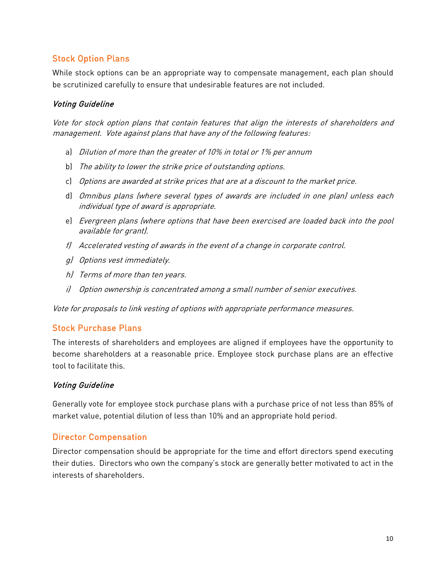# <span id="page-9-0"></span>Stock Option Plans

While stock options can be an appropriate way to compensate management, each plan should be scrutinized carefully to ensure that undesirable features are not included.

### Voting Guideline

Vote for stock option plans that contain features that align the interests of shareholders and management. Vote against plans that have any of the following features:

- a) Dilution of more than the greater of 10% in total or 1% per annum
- b) The ability to lower the strike price of outstanding options.
- c) Options are awarded at strike prices that are at a discount to the market price.
- d) Omnibus plans (where several types of awards are included in one plan) unless each individual type of award is appropriate.
- e) Evergreen plans (where options that have been exercised are loaded back into the pool available for grant).
- f) Accelerated vesting of awards in the event of a change in corporate control.
- g) Options vest immediately.
- h) Terms of more than ten years.
- i) Option ownership is concentrated among a small number of senior executives.

Vote for proposals to link vesting of options with appropriate performance measures.

## <span id="page-9-1"></span>Stock Purchase Plans

The interests of shareholders and employees are aligned if employees have the opportunity to become shareholders at a reasonable price. Employee stock purchase plans are an effective tool to facilitate this.

#### Voting Guideline

Generally vote for employee stock purchase plans with a purchase price of not less than 85% of market value, potential dilution of less than 10% and an appropriate hold period.

## <span id="page-9-2"></span>Director Compensation

Director compensation should be appropriate for the time and effort directors spend executing their duties. Directors who own the company's stock are generally better motivated to act in the interests of shareholders.